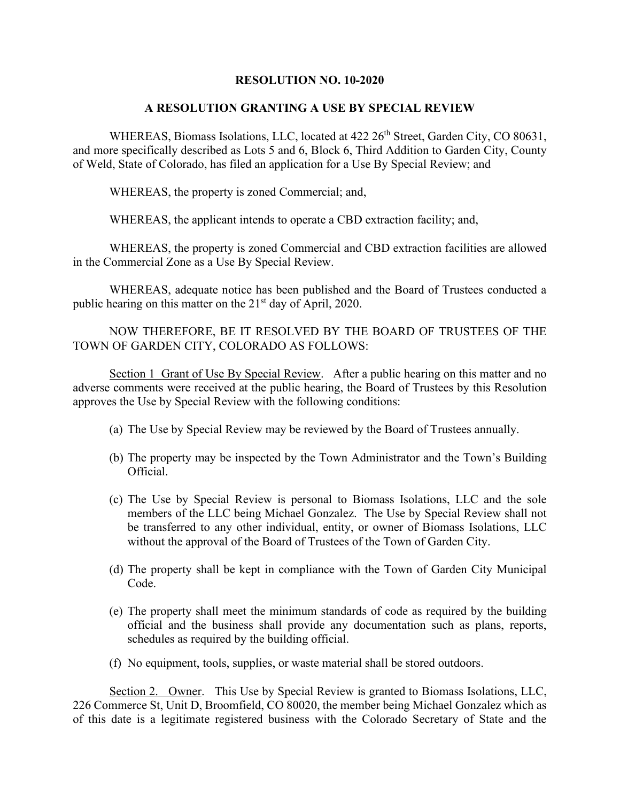## **RESOLUTION NO. 10-2020**

## **A RESOLUTION GRANTING A USE BY SPECIAL REVIEW**

WHEREAS, Biomass Isolations, LLC, located at 422 26<sup>th</sup> Street, Garden City, CO 80631, and more specifically described as Lots 5 and 6, Block 6, Third Addition to Garden City, County of Weld, State of Colorado, has filed an application for a Use By Special Review; and

WHEREAS, the property is zoned Commercial; and,

WHEREAS, the applicant intends to operate a CBD extraction facility; and,

WHEREAS, the property is zoned Commercial and CBD extraction facilities are allowed in the Commercial Zone as a Use By Special Review.

WHEREAS, adequate notice has been published and the Board of Trustees conducted a public hearing on this matter on the  $21<sup>st</sup>$  day of April, 2020.

NOW THEREFORE, BE IT RESOLVED BY THE BOARD OF TRUSTEES OF THE TOWN OF GARDEN CITY, COLORADO AS FOLLOWS:

Section 1 Grant of Use By Special Review. After a public hearing on this matter and no adverse comments were received at the public hearing, the Board of Trustees by this Resolution approves the Use by Special Review with the following conditions:

- (a) The Use by Special Review may be reviewed by the Board of Trustees annually.
- (b) The property may be inspected by the Town Administrator and the Town's Building Official.
- (c) The Use by Special Review is personal to Biomass Isolations, LLC and the sole members of the LLC being Michael Gonzalez. The Use by Special Review shall not be transferred to any other individual, entity, or owner of Biomass Isolations, LLC without the approval of the Board of Trustees of the Town of Garden City.
- (d) The property shall be kept in compliance with the Town of Garden City Municipal Code.
- (e) The property shall meet the minimum standards of code as required by the building official and the business shall provide any documentation such as plans, reports, schedules as required by the building official.
- (f) No equipment, tools, supplies, or waste material shall be stored outdoors.

Section 2. Owner. This Use by Special Review is granted to Biomass Isolations, LLC, 226 Commerce St, Unit D, Broomfield, CO 80020, the member being Michael Gonzalez which as of this date is a legitimate registered business with the Colorado Secretary of State and the